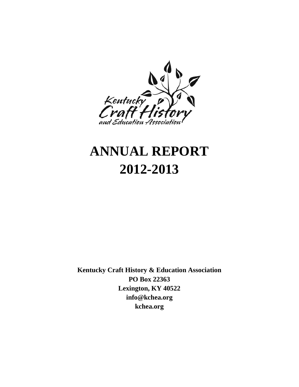

# **ANNUAL REPORT 2012-2013**

**Kentucky Craft History & Education Association PO Box 22363 Lexington, KY 40522 info@kchea.org kchea.org**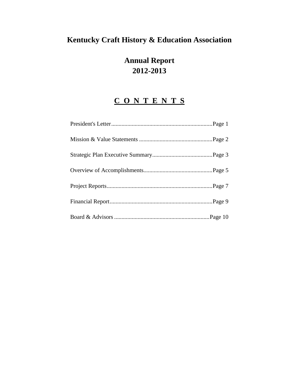# **Kentucky Craft History & Education Association**

# **Annual Report 2012-2013**

# **C O N T E N T S**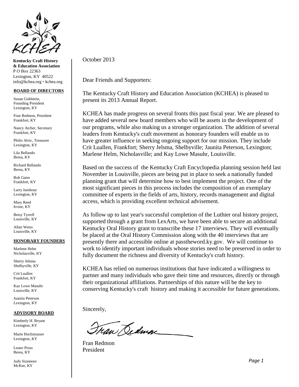

**Kentucky Craft History & Education Association** P O Box 22363 Lexington, KY 40522 info@kchea.org kchea.org

#### **BOARD OF DIRECTORS**

Susan Goldstein, Founding President Lexington, KY

Fran Redmon, President Frankfort, KY

Nancy Atcher, Secretary Frankfort, KY

Philis Alvic, Treasurer Lexington, KY

Lila Bellando Berea, KY

Richard Bellando Berea, KY

Bob Gates Frankfort, KY

Larry Isenhour Lexington, KY

Mary Reed Irvine, KY

Betsy Tyrrell Louisville, KY

Allan Weiss Louisville, KY

#### **HONORARY FOUNDERS**

Marlene Helm Nicholasville, KY

Sherry Jelsma Shelbyville, KY

Crit Luallen Frankfort, KY

Kay Lowe Masuhr Louisville, KY

Juanita Peterson Lexington, KY

#### **ADVISORY BOARD**

Kimberly H. Bryant Lexington, KY

Marie Hochstrasser Lexington, KY

Lester Pross Berea, KY

Judy Sizemore McKee, KY

October 2013

Dear Friends and Supporters:

The Kentucky Craft History and Education Association (KCHEA) is pleased to present its 2013 Annual Report.

KCHEA has made progress on several fronts this past fiscal year. We are pleased to have added several new board members who will be assets in the development of our programs, while also making us a stronger organization. The addition of several leaders from Kentucky's craft movement as honorary founders will enable us to have greater influence in seeking ongoing support for our mission. They include Crit Luallen, Frankfort; Sherry Jelsma, Shelbyville; Jaunita Peterson, Lexington; Marlene Helm, Nicholasville; and Kay Lowe Masuhr, Louisville.

Based on the success of the Kentucky Craft Encyclopedia planning session held last November in Louisville, pieces are being put in place to seek a nationally funded planning grant that will determine how to best implement the project. One of the most significant pieces in this process includes the composition of an exemplary committee of experts in the fields of arts, history, records management and digital access, which is providing excellent technical advisement.

As follow up to last year's successful completion of the Luthier oral history project, supported through a grant from LexArts, we have been able to secure an additional Kentucky Oral History grant to transcribe these 17 interviews. They will eventually be placed at the Oral History Commission along with the 40 interviews that are presently there and accessible online at passtheword.ky.gov. We will continue to work to identify important individuals whose stories need to be preserved in order to fully document the richness and diversity of Kentucky's craft history.

KCHEA has relied on numerous institutions that have indicated a willingness to partner and many individuals who gave their time and resources, directly or through their organizational affiliations. Partnerships of this nature will be the key to conserving Kentucky's craft history and making it accessible for future generations.

Sincerely,

Tran Dedman

Fran Redmon President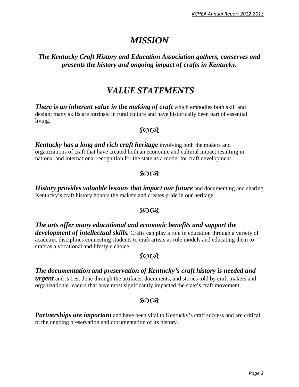# *MISSION*

# *The Kentucky Craft History and Education Association gathers, conserves and presents the history and ongoing impact of crafts in Kentucky.*

# *VALUE STATEMENTS*

*There is an inherent value in the making of craft* **which embodies both skill and** design; many skills are intrinsic in rural culture and have historically been part of essential living.

### $50Q$

*Kentucky has a long and rich craft heritage* involving both the makers and organizations of craft that have created both an economic and cultural impact resulting in national and international recognition for the state as a model for craft development.

# $50Q$

*History provides valuable lessons that impact our future* and documenting and sharing Kentucky's craft history honors the makers and creates pride in our heritage.

# $50Q$

*The arts offer many educational and economic benefits and support the development of intellectual skills.* Crafts can play a role in education through a variety of academic disciplines connecting students to craft artists as role models and educating them to craft as a vocational and lifestyle choice.

# $50Q$

## *The documentation and preservation of Kentucky's craft history is needed and*

*urgent* and is best done through the artifacts, documents, and stories told by craft makers and organizational leaders that have most significantly impacted the state's craft movement.

# ഩ൚

**Partnerships are important** and have been vital to Kentucky's craft success and are critical to the ongoing preservation and documentation of its history.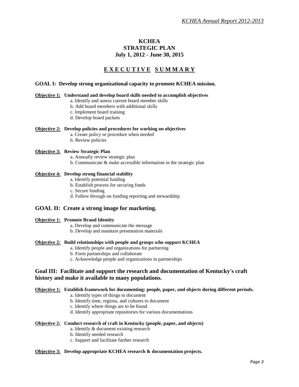#### **KCHEA STRATEGIC PLAN July 1, 2012 - June 30, 2015**

### **E X E C U T I V E S U M M A R Y**

#### **GOAL I: Develop strong organizational capacity to promote KCHEA mission.**

#### **Objective 1: Understand and develop board skills needed to accomplish objectives**

- a. Identify and assess current board member skills
	- b. Add board members with additional skills
	- c. Implement board training
	- d. Develop board packets

#### **Objective 2: Develop policies and procedures for working on objectives**

- a. Create policy or procedure when needed
- b. Review policies

#### **Objective 3: Review Strategic Plan**

- a. Annually review strategic plan
- b. Communicate & make accessible information in the strategic plan

#### **Objective 4: Develop strong financial stability**

- a. Identify potential funding
- b. Establish process for securing funds
- c. Secure funding
- d. Follow through on funding reporting and stewardship

#### **GOAL II: Create a strong image for marketing.**

#### **Objective 1: Promote Brand Identity**

- a. Develop and communicate the message
- b. Develop and maintain presentation materials

#### **Objective 2: Build relationships with people and groups who support KCHEA**

- a. Identify people and organizations for partnering
- b. Form partnerships and collaborate
- c. Acknowledge people and organizations in partnerships

#### **Goal III: Facilitate and support the research and documentation of Kentucky's craft history and make it available to many populations.**

#### **Objective 1: Establish framework for documenting: people, paper, and objects during different periods.**

- a. Identify types of things to document
- b. Identify time, regions, and cultures to document
- c. Identify where things are to be found
- d. Identify appropriate repositories for various documentations

#### **Objective 2: Conduct research of craft in Kentucky (people, paper, and objects)**

- a. Identify & document existing research
- b. Identify needed research
- c. Support and facilitate further research

#### **Objective 3: Develop appropriate KCHEA research & documentation projects.**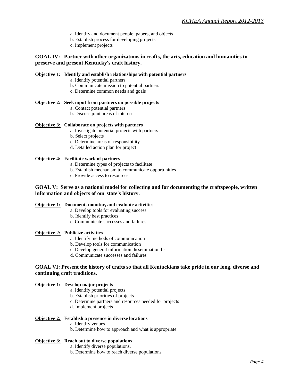- a. Identify and document people, papers, and objects
- b. Establish process for developing projects
- c. Implement projects

#### **GOAL IV: Partner with other organizations in crafts, the arts, education and humanities to preserve and present Kentucky's craft history.**

#### **Objective 1: Identify and establish relationships with potential partners**

- a. Identify potential partners
- b. Communicate mission to potential partners
- c. Determine common needs and goals

#### **Objective 2: Seek input from partners on possible projects**

- a. Contact potential partners
- b. Discuss joint areas of interest

#### **Objective 3: Collaborate on projects with partners**

- a. Investigate potential projects with partners
- b. Select projects
- c. Determine areas of responsibility
- d. Detailed action plan for project

#### **Objective 4: Facilitate work of partners**

- a. Determine types of projects to facilitate
- b. Establish mechanism to communicate opportunities
- c. Provide access to resources

#### **GOAL V: Serve as a national model for collecting and for documenting the craftspeople, written information and objects of our state's history.**

#### **Objective 1: Document, monitor, and evaluate activities**

- a. Develop tools for evaluating success
- b. Identify best practices
- c. Communicate successes and failures

#### **Objective 2: Publicize activities**

- a. Identify methods of communication
- b. Develop tools for communication
- c. Develop general information dissemination list
- d. Communicate successes and failures

#### **GOAL VI: Present the history of crafts so that all Kentuckians take pride in our long, diverse and continuing craft traditions.**

#### **Objective 1: Develop major projects**

- a. Identify potential projects
- b. Establish priorities of projects
- c. Determine partners and resources needed for projects
- d. Implement projects

#### **Objective 2: Establish a presence in diverse locations**

- a. Identify venues
- b. Determine how to approach and what is appropriate

#### **Objective 3: Reach out to diverse populations**

- a. Identify diverse populations.
- b. Determine how to reach diverse populations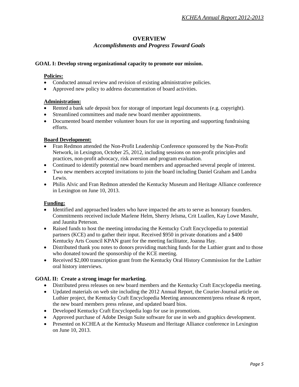#### **OVERVIEW** *Accomplishments and Progress Toward Goals*

#### **GOAL I: Develop strong organizational capacity to promote our mission.**

#### **Policies:**

- Conducted annual review and revision of existing administrative policies.
- Approved new policy to address documentation of board activities.

#### **Administration:**

- Rented a bank safe deposit box for storage of important legal documents (e.g. copyright).
- Streamlined committees and made new board member appointments.
- Documented board member volunteer hours for use in reporting and supporting fundraising efforts.

#### **Board Development:**

- Fran Redmon attended the Non-Profit Leadership Conference sponsored by the Non-Profit Network, in Lexington, October 25, 2012, including sessions on non-profit principles and practices, non-profit advocacy, risk aversion and program evaluation.
- Continued to identify potential new board members and approached several people of interest.
- Two new members accepted invitations to join the board including Daniel Graham and Landra Lewis.
- Philis Alvic and Fran Redmon attended the Kentucky Museum and Heritage Alliance conference in Lexington on June 10, 2013.

#### **Funding:**

- Identified and approached leaders who have impacted the arts to serve as honorary founders. Commitments received include Marlene Helm, Sherry Jelsma, Crit Luallen, Kay Lowe Masuhr, and Jaunita Peterson.
- Raised funds to host the meeting introducing the Kentucky Craft Encyclopedia to potential partners (KCE) and to gather their input. Received \$950 in private donations and a \$400 Kentucky Arts Council KPAN grant for the meeting facilitator, Joanna Hay.
- Distributed thank you notes to donors providing matching funds for the Luthier grant and to those who donated toward the sponsorship of the KCE meeting.
- Received \$2,000 transcription grant from the Kentucky Oral History Commission for the Luthier oral history interviews.

#### **GOAL II: Create a strong image for marketing.**

- Distributed press releases on new board members and the Kentucky Craft Encyclopedia meeting.
- Updated materials on web site including the 2012 Annual Report, the Courier-Journal article on Luthier project, the Kentucky Craft Encyclopedia Meeting announcement/press release & report, the new board members press release, and updated board bios.
- Developed Kentucky Craft Encyclopedia logo for use in promotions.
- Approved purchase of Adobe Design Suite software for use in web and graphics development.
- Presented on KCHEA at the Kentucky Museum and Heritage Alliance conference in Lexington on June 10, 2013.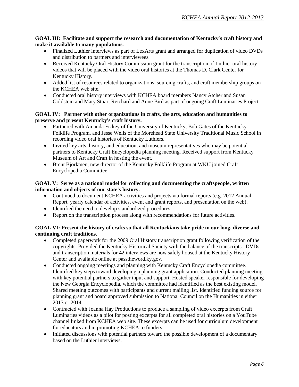#### **GOAL III: Facilitate and support the research and documentation of Kentucky's craft history and make it available to many populations.**

- Finalized Luthier interviews as part of LexArts grant and arranged for duplication of video DVDs and distribution to partners and interviewees.
- Received Kentucky Oral History Commission grant for the transcription of Luthier oral history videos that will be placed with the video oral histories at the Thomas D. Clark Center for Kentucky History.
- Added list of resources related to organizations, sourcing crafts, and craft membership groups on the KCHEA web site.
- Conducted oral history interviews with KCHEA board members Nancy Atcher and Susan Goldstein and Mary Stuart Reichard and Anne Bird as part of ongoing Craft Luminaries Project.

#### **GOAL IV: Partner with other organizations in crafts, the arts, education and humanities to preserve and present Kentucky's craft history.**

- Partnered with Amanda Fickey of the University of Kentucky, Bob Gates of the Kentucky Folklife Program, and Jesse Wells of the Morehead State University Traditional Music School in recording video oral histories of Kentucky Luthiers.
- Invited key arts, history, and education, and museum representatives who may be potential partners to Kentucky Craft Encyclopedia planning meeting. Received support from Kentucky Museum of Art and Craft in hosting the event.
- Brent Bjorkmen, new director of the Kentucky Folklife Program at WKU joined Craft Encyclopedia Committee.

#### **GOAL V: Serve as a national model for collecting and documenting the craftspeople, written information and objects of our state's history.**

- Continued to document KCHEA activities and projects via formal reports (e.g. 2012 Annual Report, yearly calendar of activities, event and grant reports, and presentation on the web).
- Identified the need to develop standardized procedures.
- Report on the transcription process along with recommendations for future activities.

#### **GOAL VI: Present the history of crafts so that all Kentuckians take pride in our long, diverse and continuing craft traditions.**

- Completed paperwork for the 2009 Oral History transcription grant following verification of the copyrights. Provided the Kentucky Historical Society with the balance of the transcripts. DVDs and transcription materials for 42 interviews are now safely housed at the Kentucky History Center and available online at passtheword.ky.gov.
- Conducted ongoing meetings and planning with Kentucky Craft Encyclopedia committee. Identified key steps toward developing a planning grant application. Conducted planning meeting with key potential partners to gather input and support. Hosted speaker responsible for developing the New Georgia Encyclopedia, which the committee had identified as the best existing model. Shared meeting outcomes with participants and current mailing list. Identified funding source for planning grant and board approved submission to National Council on the Humanities in either 2013 or 2014.
- Contracted with Joanna Hay Productions to produce a sampling of video excerpts from Craft Luminaries videos as a pilot for posting excerpts for all completed oral histories on a YouTube channel linked from KCHEA web site. These excerpts can be used for curriculum development for educators and in promoting KCHEA to funders.
- Initiated discussions with potential partners toward the possible development of a documentary based on the Luthier interviews.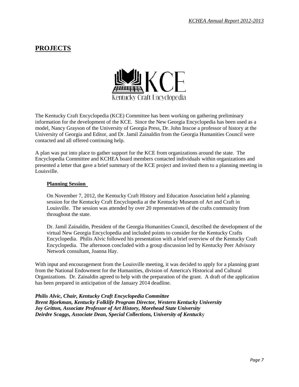# **PROJECTS**



The Kentucky Craft Encyclopedia (KCE) Committee has been working on gathering preliminary information for the development of the KCE. Since the New Georgia Encyclopedia has been used as a model, Nancy Grayson of the University of Georgia Press, Dr. John Inscoe a professor of history at the University of Georgia and Editor, and Dr. Jamil Zainaldin from the Georgia Humanities Council were contacted and all offered continuing help.

A plan was put into place to gather support for the KCE from organizations around the state. The Encyclopedia Committee and KCHEA board members contacted individuals within organizations and presented a letter that gave a brief summary of the KCE project and invited them to a planning meeting in Louisville.

#### **Planning Session**

On November 7, 2012, the Kentucky Craft History and Education Association held a planning session for the Kentucky Craft Encyclopedia at the Kentucky Museum of Art and Craft in Louisville. The session was attended by over 20 representatives of the crafts community from throughout the state.

Dr. Jamil Zainaldin, President of the Georgia Humanities Council, described the development of the virtual New Georgia Encyclopedia and included points to consider for the Kentucky Crafts Encyclopedia. Philis Alvic followed his presentation with a brief overview of the Kentucky Craft Encyclopedia. The afternoon concluded with a group discussion led by Kentucky Peer Advisory Network consultant, Joanna Hay.

With input and encouragement from the Louisville meeting, it was decided to apply for a planning grant from the National Endowment for the Humanities, division of America's Historical and Cultural Organizations. Dr. Zainaldin agreed to help with the preparation of the grant. A draft of the application has been prepared in anticipation of the January 2014 deadline.

*Philis Alvic, Chair, Kentucky Craft Encyclopedia Committee Brent Bjorkman, Kentucky Folklife Program Director, Western Kentucky University Joy Gritton, Associate Professor of Art History, Morehead State University Deirdre Scaggs, Associate Dean, Special Collections, University of Kentuck*y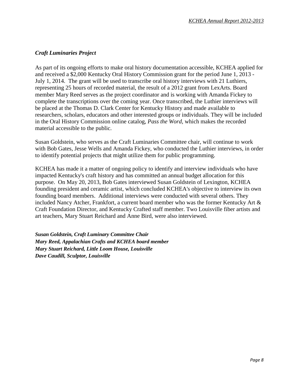#### *Craft Luminaries Project*

As part of its ongoing efforts to make oral history documentation accessible, KCHEA applied for and received a \$2,000 Kentucky Oral History Commission grant for the period June 1, 2013 - July 1, 2014. The grant will be used to transcribe oral history interviews with 21 Luthiers, representing 25 hours of recorded material, the result of a 2012 grant from LexArts. Board member Mary Reed serves as the project coordinator and is working with Amanda Fickey to complete the transcriptions over the coming year. Once transcribed, the Luthier interviews will be placed at the Thomas D. Clark Center for Kentucky History and made available to researchers, scholars, educators and other interested groups or individuals. They will be included in the Oral History Commission online catalog, *Pass the Word*, which makes the recorded material accessible to the public.

Susan Goldstein, who serves as the Craft Luminaries Committee chair, will continue to work with Bob Gates, Jesse Wells and Amanda Fickey, who conducted the Luthier interviews, in order to identify potential projects that might utilize them for public programming.

KCHEA has made it a matter of ongoing policy to identify and interview individuals who have impacted Kentucky's craft history and has committed an annual budget allocation for this purpose. On May 20, 2013, Bob Gates interviewed Susan Goldstein of Lexington, KCHEA founding president and ceramic artist, which concluded KCHEA's objective to interview its own founding board members. Additional interviews were conducted with several others. They included Nancy Atcher, Frankfort, a current board member who was the former Kentucky Art & Craft Foundation Director, and Kentucky Crafted staff member. Two Louisville fiber artists and art teachers, Mary Stuart Reichard and Anne Bird, were also interviewed.

*Susan Goldstein, Craft Luminary Committee Chair Mary Reed, Appalachian Crafts and KCHEA board member Mary Stuart Reichard, Little Loom House, Louisville Dave Caudill, Sculptor, Louisville*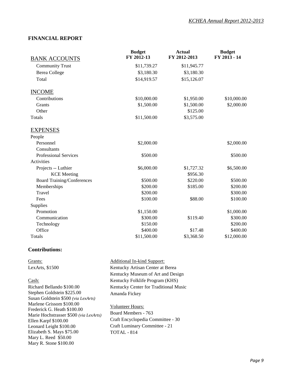#### **FINANCIAL REPORT**

|                                   | <b>Budget</b> | <b>Actual</b> | <b>Budget</b> |
|-----------------------------------|---------------|---------------|---------------|
| <b>BANK ACCOUNTS</b>              | FY 2012-13    | FY 2012-2013  | FY 2013 - 14  |
| <b>Community Trust</b>            | \$11,739.27   | \$11,945.77   |               |
| <b>Berea College</b>              | \$3,180.30    | \$3,180.30    |               |
| Total                             | \$14,919.57   | \$15,126.07   |               |
| <b>INCOME</b>                     |               |               |               |
| Contributions                     | \$10,000.00   | \$1,950.00    | \$10,000.00   |
| Grants                            | \$1,500.00    | \$1,500.00    | \$2,000.00    |
| Other                             |               | \$125.00      |               |
| Totals                            | \$11,500.00   | \$3,575.00    |               |
| <b>EXPENSES</b>                   |               |               |               |
| People                            |               |               |               |
| Personnel                         | \$2,000.00    |               | \$2,000.00    |
| Consultants                       |               |               |               |
| <b>Professional Services</b>      | \$500.00      |               | \$500.00      |
| Activities                        |               |               |               |
| Projects -- Luthier               | \$6,000.00    | \$1,727.32    | \$6,500.00    |
| <b>KCE</b> Meeting                |               | \$956.30      |               |
| <b>Board Training/Conferences</b> | \$500.00      | \$220.00      | \$500.00      |
| Memberships                       | \$200.00      | \$185.00      | \$200.00      |
| Travel                            | \$200.00      |               | \$300.00      |
| Fees                              | \$100.00      | \$88.00       | \$100.00      |
| Supplies                          |               |               |               |
| Promotion                         | \$1,150.00    |               | \$1,000.00    |
| Communication                     | \$300.00      | \$119.40      | \$300.00      |
| Technology                        | \$150.00      |               | \$200.00      |
| Office                            | \$400.00      | \$17.48       | \$400.00      |
| Totals                            | \$11,500.00   | \$3,368.50    | \$12,000.00   |

#### **Contributions:**

| Additional In-kind Support:<br>Grants:<br>LexArts, $$1500$<br>Kentucky Artisan Center at Berea<br>Kentucky Museum of Art and Design<br>Kentucky Folklife Program (KHS)<br>Cash:<br>Richard Bellando \$100.00<br>Kentucky Center for Traditional Music                                                                                                                             |
|-----------------------------------------------------------------------------------------------------------------------------------------------------------------------------------------------------------------------------------------------------------------------------------------------------------------------------------------------------------------------------------|
|                                                                                                                                                                                                                                                                                                                                                                                   |
|                                                                                                                                                                                                                                                                                                                                                                                   |
|                                                                                                                                                                                                                                                                                                                                                                                   |
|                                                                                                                                                                                                                                                                                                                                                                                   |
|                                                                                                                                                                                                                                                                                                                                                                                   |
| Stephen Goldstein \$225.00<br>Amanda Fickey                                                                                                                                                                                                                                                                                                                                       |
| Susan Goldstein \$500 (via LexArts)                                                                                                                                                                                                                                                                                                                                               |
| Marlene Grissom \$100.00<br><b>Volunteer Hours:</b><br>Frederick G. Heath \$100.00<br>Board Members - 763<br>Marie Hochstrasser \$500 (via LexArts)<br>Craft Encyclopedia Committee - 30<br>Ellen Karpf \$100.00<br>Craft Luminary Committee - 21<br>Leonard Leight \$100.00<br>Elizabeth S. Mays \$75.00<br><b>TOTAL - 814</b><br>Mary L. Reed \$50.00<br>Mary R. Stone \$100.00 |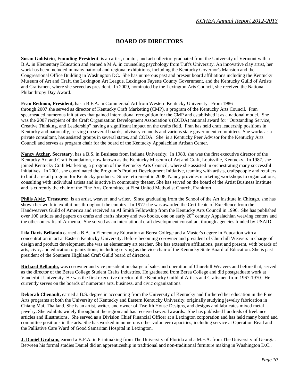### **BOARD OF DIRECTORS**

**Susan Goldstein**, **Founding President**, is an artist, curator, and art collector, graduated from the University of Vermont with a B.A. in Elementary Education and earned a M.A. in counseling psychology from Tuft's University. An innovative clay artist, her work has been included in many national and regional exhibitions, including the Kentucky Governor's Mansion and the Congressional Office Building in Washington DC. She has numerous past and present board affiliations including the Kentucky Museum of Art and Craft, the Lexington Art League, Lexington Fayette County Government, and the Kentucky Guild of Artists and Craftsmen, where she served as president. In 2009, nominated by the Lexington Arts Council, she received the National Philanthropy Day Award.

**Fran Redmon, President,** has a B.F.A. in Commercial Art from Western Kentucky University. From 1986 through 2007 she served as director of Kentucky Craft Marketing (CMP), a program of the Kentucky Arts Council. Fran spearheaded numerous initiatives that gained international recognition for the CMP and established it as a national model. She was the 2007 recipient of the Craft Organization Development Association's (CODA) national award for "Outstanding Service, Creative Thinking, and Leadership" having a significant impact on the crafts field. Fran has held craft leadership positions in Kentucky and nationally, serving on several boards, advisory councils and various state government committees. She works as a private consultant, has assisted groups in several states, and CODA. She is a Kentucky Peer Advisor for the Kentucky Arts Council and serves as program chair for the board of the Kentucky Appalachian Artisan Center.

**Nancy Atcher, Secretary**, has a B.S. in Business from Indiana University. In 1983, she was the first executive director of the Kentucky Art and Craft Foundation, now known as the Kentucky Museum of Art and Craft, Louisville, Kentucky. In 1987, she joined Kentucky Craft Marketing, a program of the Kentucky Arts Council, where she assisted in orchestrating many successful initiatives. In 2001, she coordinated the Program's Product Development Initiative, teaming with artists, craftspeople and retailers to build a retail program for Kentucky products. Since retirement in 2008, Nancy provides marketing workshops to organizations, consulting with individual artists and is active in community theater. She has served on the board of the Artist Business Institute and is currently the chair of the Fine Arts Committee at First United Methodist Church, Frankfort.

**Philis Alvic, Treasurer,** is an artist, weaver, and writer. Since graduating from the School of the Art Institute in Chicago, she has shown her work in exhibitions throughout the country. In 1977 she was awarded the Certificate of Excellence from the Handweavers Guild of America and received an Al Smith Fellowship from the Kentucky Arts Council in 1996. She has published over 100 articles and papers on crafts and crafts history and two books, one on early  $20<sup>th</sup>$  century Appalachian weaving centers and the other on crafts of Armenia. She served as an international craft development consultant through agencies funded by USAID.

**Lila Davis Bellando** earned a B.A. in Elementary Education at Berea College and a Master's degree in Education with a concentration in art at Eastern Kentucky University. Before becoming co-owner and president of Churchill Weavers in charge of design and product development, she was an elementary art teacher. She has extensive affiliations, past and present, with boards of arts, civic, and education organizations, including serving as the vice chair of the Kentucky State Board of Education. She is past president of the Southern Highland Craft Guild board of directors.

**Richard Bellando,** was co-owner and vice president in charge of sales and operation of Churchill Weavers and before that, served as the director of the Berea College Student Crafts Industries. He graduated from Berea College and did postgraduate work at Vanderbilt University. He was the first executive director of the Kentucky Guild of Artists and Craftsmen from 1967-1970. He currently serves on the boards of numerous arts, business, and civic organizations.

**Deborah Chenault,** earned a B.S. degree in accounting from the University of Kentucky and furthered her education in the Fine Arts programs at both the University of Kentucky and Eastern Kentucky University, originally studying jewelry fabrication in Chiang Mai, Thailand. She is an artist, writer, and owner of Twelfth House Designs, and designs and fabricates mixed metal jewelry. She exhibits widely throughout the region and has received several awards. She has published hundreds of freelance articles and illustrations. She served as a Division Chief Financial Officer at a Lexington corporation and has held many board and committee positions in the arts. She has worked in numerous other volunteer capacities, including service at Operation Read and the Palliative Care Ward of Good Samaritan Hospital in Lexington.

**J. Daniel Graham,** earned a B.F.A. in Printmaking from The University of Florida and a M.F.A. from The University of Georgia. Between his formal studies Daniel did an apprenticeship in traditional and non-traditional furniture making in Washington D.C.,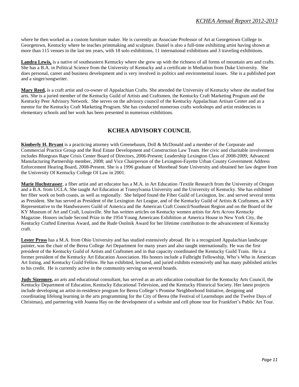where he then worked as a custom furniture maker. He is currently an Associate Professor of Art at Georgetown College in Georgetown, Kentucky where he teaches printmaking and sculpture. Daniel is also a full-time exhibiting artist having shown at more than 115 venues in the last ten years, with 18 solo exhibitions, 11 international exhibitions and 3 traveling exhibitions.

**Landra Lewis,** is a native of southeastern Kentucky where she grew up with the richness of all forms of mountain arts and crafts. She has a B.A. in Political Science from the University of Kentucky and a certificate in Mediation from Duke University. She does personal, career and business development and is very involved in politics and environmental issues. She is a published poet and a singer/songwriter.

**Mary Reed,** is a craft artist and co-owner of Appalachian Crafts. She attended the University of Kentucky where she studied fine arts. She is a juried member of the Kentucky Guild of Artists and Craftsmen, the Kentucky Craft Marketing Program and the Kentucky Peer Advisory Network. She serves on the advisory council of the Kentucky Appalachian Artisan Center and as a mentor for the Kentucky Craft Marketing Program. She has conducted numerous crafts workshops and artist residencies in elementary schools and her work has been presented in numerous exhibitions.

### **KCHEA ADVISORY COUNCIL**

**Kimberly H. Bryant** is a practicing attorney with Greenebaum, Doll & McDonald and a member of the Corporate and Commercial Practice Group and the Real Estate Development and Construction Law Team. Her civic and charitable involvement includes Bluegrass Rape Crisis Center Board of Directors, 2006-Present; Leadership Lexington Class of 2008-2009; Advanced Manufacturing Partnership member, 2008; and Vice Chairperson of the Lexington-Fayette Urban County Government Address Enforcement Hearing Board, 2008-Present. She is a 1996 graduate of Morehead State University and obtained her law degree from the University Of Kentucky College Of Law in 2001.

**Marie Hochstrasser**, a fiber artist and art educator has a M.A. in Art Education /Textile Research from the University of Oregon and a B.A. from UCLA. She taught Art Education at Transylvania University and the University of Kentucky. She has exhibited her fiber work on both coasts, as well as regionally. She helped found the Fiber Guild of Lexington, Inc. and served several terms as President. She has served as President of the Lexington Art League, and of the Kentucky Guild of Artists & Craftsmen, as KY Representative to the Handweavers Guild of America and the American Craft Council/Southeast Region and on the Board of the KY Museum of Art and Craft, Louisville. She has written articles on Kentucky women artists for *Arts Across Kentucky* Magazine. Honors include Second Prize in the 1954 Young Americans Exhibition at America House in New York City, the Kentucky Crafted Emeritus Award, and the Rude Osolnik Award for her lifetime contribution to the advancement of Kentucky craft.

**Lester Pross** has a M.A. from Ohio University and has studied extensively abroad. He is a recognized Appalachian landscape painter, was the chair of the Berea College Art Department for many years and also taught internationally. He was the first president of the Kentucky Guild of Artists and Craftsmen and in that capacity coordinated the Kentucky Guild Train. He is a former president of the Kentucky Art Education Association. His honors include a Fulbright Fellowship, Who's Who in American Art listing, and Kentucky Guild Fellow. He has exhibited, lectured, and juried exhibits extensively and has many published articles to his credit. He is currently active in the community serving on several boards.

**Judy Sizemore,** an arts and educational consultant, has served as an arts education consultant for the Kentucky Arts Council, the Kentucky Department of Education, Kentucky Educational Television, and the Kentucky Historical Society. Her latest projects include developing an artist-in-residence program for Berea College's Promise Neighborhood Initiative, designing and coordinating lifelong learning in the arts programming for the City of Berea (the Festival of Learnshops and the Twelve Days of Christmas), and partnering with Joanna Hay on the development of a website and cell phone tour for Frankfort's Public Art Tour.